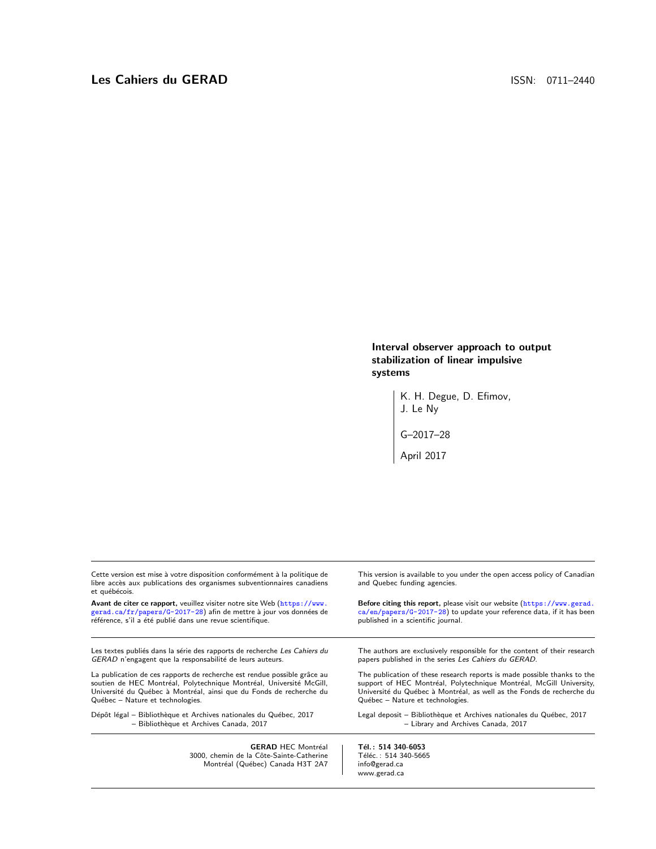Interval observer approach to output stabilization of linear impulsive systems

> K. H. Degue, D. Efimov, J. Le Ny G–2017–28 April 2017

| <b>GERAD HEC Montréal</b>                                                                                                                                            | Tél.: 514 340-6053                                                                                        |  |
|----------------------------------------------------------------------------------------------------------------------------------------------------------------------|-----------------------------------------------------------------------------------------------------------|--|
| Dépôt légal - Bibliothèque et Archives nationales du Québec, 2017                                                                                                    | Legal deposit - Bibliothèque et Archives nationales du Québec, 2017                                       |  |
| - Bibliothèque et Archives Canada, 2017                                                                                                                              | - Library and Archives Canada, 2017                                                                       |  |
| La publication de ces rapports de recherche est rendue possible grâce au                                                                                             | The publication of these research reports is made possible thanks to the                                  |  |
| soutien de HEC Montréal, Polytechnique Montréal, Université McGill,                                                                                                  | support of HEC Montréal, Polytechnique Montréal, McGill University,                                       |  |
| Université du Québec à Montréal, ainsi que du Fonds de recherche du                                                                                                  | Université du Québec à Montréal, as well as the Fonds de recherche du                                     |  |
| Québec - Nature et technologies.                                                                                                                                     | Québec - Nature et technologies.                                                                          |  |
| Les textes publiés dans la série des rapports de recherche Les Cahiers du                                                                                            | The authors are exclusively responsible for the content of their research                                 |  |
| GERAD n'engagent que la responsabilité de leurs auteurs.                                                                                                             | papers published in the series Les Cahiers du GERAD.                                                      |  |
| Avant de citer ce rapport, veuillez visiter notre site Web (https://www.                                                                                             | Before citing this report, please visit our website (https://www.gerad.                                   |  |
| gerad.ca/fr/papers/G-2017-28) afin de mettre à jour vos données de                                                                                                   | ca/en/papers/G-2017-28) to update your reference data, if it has been                                     |  |
| référence, s'il a été publié dans une revue scientifique.                                                                                                            | published in a scientific journal.                                                                        |  |
| Cette version est mise à votre disposition conformément à la politique de<br>libre accès aux publications des organismes subventionnaires canadiens<br>et québécois. | This version is available to you under the open access policy of Canadian<br>and Quebec funding agencies. |  |
|                                                                                                                                                                      |                                                                                                           |  |

GERAD HEC Montréal<br>3000, chemin de la Côte-Sainte-Catherine Montréal (Québec) Canada H3T 2A7 **Tél. : 514 340-6053**<br>Téléc. : 514 340-5665 info@gerad.ca www.gerad.ca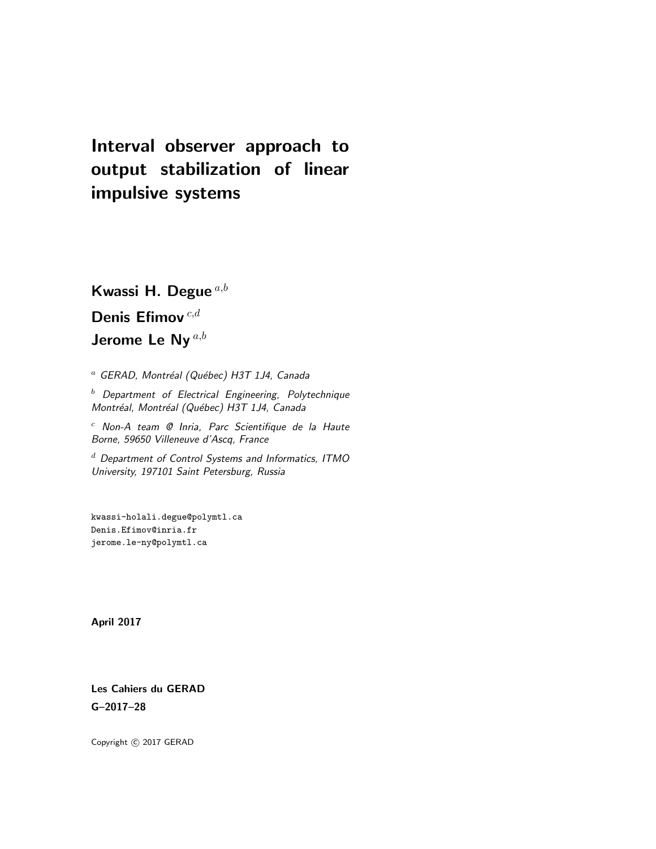# Interval observer approach to output stabilization of linear impulsive systems

Kwassi H. Degue  $^{a,b}$ 

Denis Efimov  $^{c,d}$ Jerome Le Ny<sup>a,b</sup>

 $a$  GERAD, Montréal (Québec) H3T 1J4, Canada

 $<sup>b</sup>$  Department of Electrical Engineering, Polytechnique</sup> Montréal, Montréal (Québec) H3T 1J4, Canada

 $c$  Non-A team  $Q$  Inria, Parc Scientifique de la Haute Borne, 59650 Villeneuve d'Ascq, France

 $d$  Department of Control Systems and Informatics, ITMO University, 197101 Saint Petersburg, Russia

kwassi-holali.degue@polymtl.ca Denis.Efimov@inria.fr jerome.le-ny@polymtl.ca

April 2017

Les Cahiers du GERAD G–2017–28

Copyright  $\odot$  2017 GERAD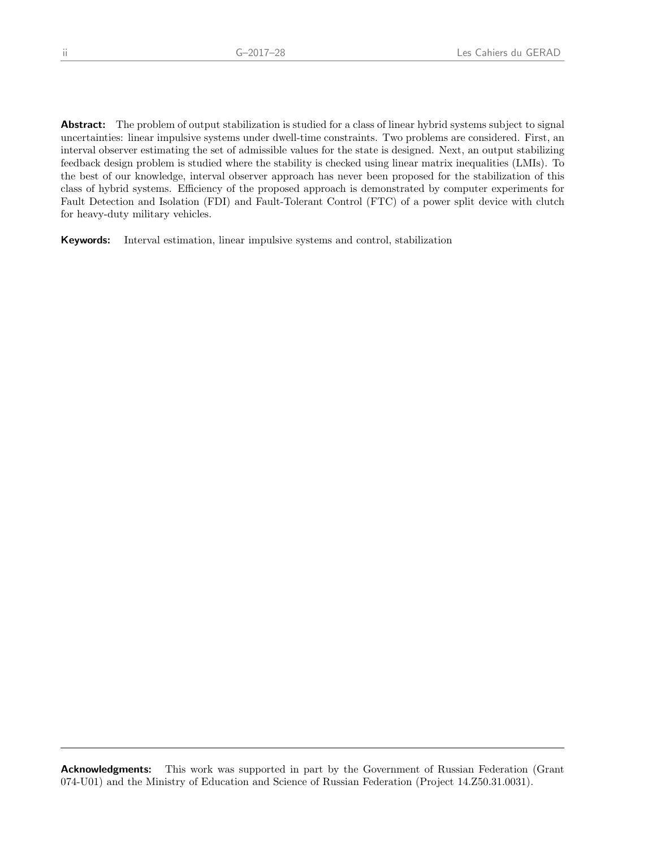Abstract: The problem of output stabilization is studied for a class of linear hybrid systems subject to signal uncertainties: linear impulsive systems under dwell-time constraints. Two problems are considered. First, an interval observer estimating the set of admissible values for the state is designed. Next, an output stabilizing feedback design problem is studied where the stability is checked using linear matrix inequalities (LMIs). To the best of our knowledge, interval observer approach has never been proposed for the stabilization of this class of hybrid systems. Efficiency of the proposed approach is demonstrated by computer experiments for Fault Detection and Isolation (FDI) and Fault-Tolerant Control (FTC) of a power split device with clutch for heavy-duty military vehicles.

Keywords: Interval estimation, linear impulsive systems and control, stabilization

**Acknowledgments:** This work was supported in part by the Government of Russian Federation (Grant 074-U01) and the Ministry of Education and Science of Russian Federation (Project 14.Z50.31.0031).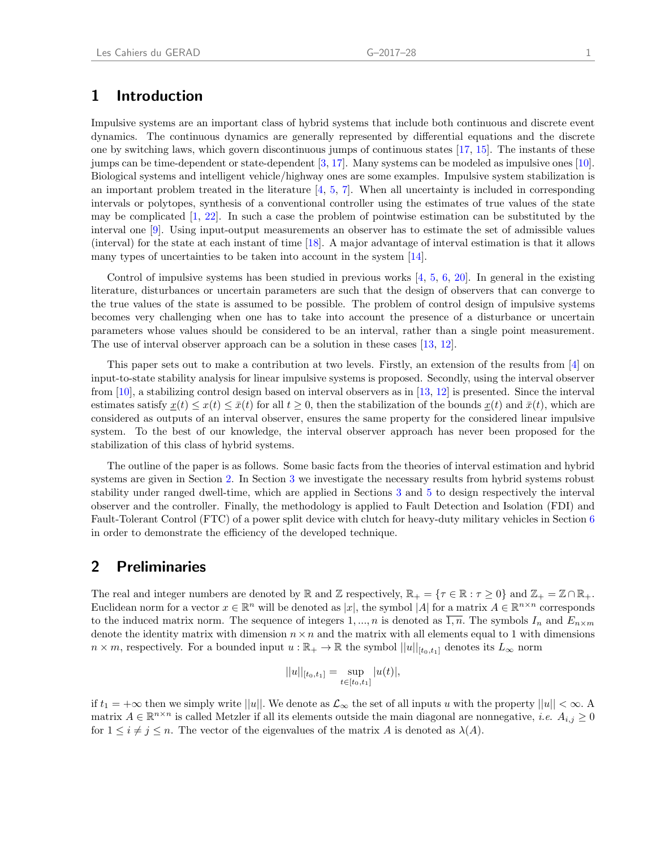# 1 Introduction

Impulsive systems are an important class of hybrid systems that include both continuous and discrete event dynamics. The continuous dynamics are generally represented by differential equations and the discrete one by switching laws, which govern discontinuous jumps of continuous states [\[17,](#page-12-0) [15\]](#page-12-1). The instants of these jumps can be time-dependent or state-dependent [\[3,](#page-11-0) [17\]](#page-12-0). Many systems can be modeled as impulsive ones [\[10\]](#page-12-2). Biological systems and intelligent vehicle/highway ones are some examples. Impulsive system stabilization is an important problem treated in the literature  $[4, 5, 7]$  $[4, 5, 7]$  $[4, 5, 7]$  $[4, 5, 7]$  $[4, 5, 7]$ . When all uncertainty is included in corresponding intervals or polytopes, synthesis of a conventional controller using the estimates of true values of the state may be complicated [\[1,](#page-11-4) [22\]](#page-12-3). In such a case the problem of pointwise estimation can be substituted by the interval one [\[9\]](#page-12-4). Using input-output measurements an observer has to estimate the set of admissible values (interval) for the state at each instant of time [\[18\]](#page-12-5). A major advantage of interval estimation is that it allows many types of uncertainties to be taken into account in the system [\[14\]](#page-12-6).

Control of impulsive systems has been studied in previous works  $[4, 5, 6, 20]$  $[4, 5, 6, 20]$  $[4, 5, 6, 20]$  $[4, 5, 6, 20]$  $[4, 5, 6, 20]$  $[4, 5, 6, 20]$  $[4, 5, 6, 20]$ . In general in the existing literature, disturbances or uncertain parameters are such that the design of observers that can converge to the true values of the state is assumed to be possible. The problem of control design of impulsive systems becomes very challenging when one has to take into account the presence of a disturbance or uncertain parameters whose values should be considered to be an interval, rather than a single point measurement. The use of interval observer approach can be a solution in these cases [\[13,](#page-12-8) [12\]](#page-12-9).

This paper sets out to make a contribution at two levels. Firstly, an extension of the results from [\[4\]](#page-11-1) on input-to-state stability analysis for linear impulsive systems is proposed. Secondly, using the interval observer from [\[10\]](#page-12-2), a stabilizing control design based on interval observers as in [\[13,](#page-12-8) [12\]](#page-12-9) is presented. Since the interval estimates satisfy  $x(t) \leq x(t) \leq \bar{x}(t)$  for all  $t \geq 0$ , then the stabilization of the bounds  $x(t)$  and  $\bar{x}(t)$ , which are considered as outputs of an interval observer, ensures the same property for the considered linear impulsive system. To the best of our knowledge, the interval observer approach has never been proposed for the stabilization of this class of hybrid systems.

The outline of the paper is as follows. Some basic facts from the theories of interval estimation and hybrid systems are given in Section [2.](#page-4-0) In Section [3](#page-5-0) we investigate the necessary results from hybrid systems robust stability under ranged dwell-time, which are applied in Sections [3](#page-5-0) and [5](#page-7-0) to design respectively the interval observer and the controller. Finally, the methodology is applied to Fault Detection and Isolation (FDI) and Fault-Tolerant Control (FTC) of a power split device with clutch for heavy-duty military vehicles in Section [6](#page-8-0) in order to demonstrate the efficiency of the developed technique.

#### <span id="page-4-0"></span>2 Preliminaries

The real and integer numbers are denoted by  $\mathbb R$  and  $\mathbb Z$  respectively,  $\mathbb R_+ = \{ \tau \in \mathbb R : \tau \geq 0 \}$  and  $\mathbb Z_+ = \mathbb Z \cap \mathbb R_+$ . Euclidean norm for a vector  $x \in \mathbb{R}^n$  will be denoted as  $|x|$ , the symbol  $|A|$  for a matrix  $A \in \mathbb{R}^{n \times n}$  corresponds to the induced matrix norm. The sequence of integers 1, ..., n is denoted as  $\overline{1,n}$ . The symbols  $I_n$  and  $E_{n\times m}$ denote the identity matrix with dimension  $n \times n$  and the matrix with all elements equal to 1 with dimensions  $n \times m$ , respectively. For a bounded input  $u : \mathbb{R}_+ \to \mathbb{R}$  the symbol  $||u||_{[t_0,t_1]}$  denotes its  $L_{\infty}$  norm

$$
||u||_{[t_0,t_1]} = \sup_{t \in [t_0,t_1]} |u(t)|,
$$

if  $t_1 = +\infty$  then we simply write  $||u||$ . We denote as  $\mathcal{L}_{\infty}$  the set of all inputs u with the property  $||u|| < \infty$ . matrix  $A \in \mathbb{R}^{n \times n}$  is called Metzler if all its elements outside the main diagonal are nonnegative, *i.e.*  $A_{i,j} \ge 0$ for  $1 \leq i \neq j \leq n$ . The vector of the eigenvalues of the matrix A is denoted as  $\lambda(A)$ .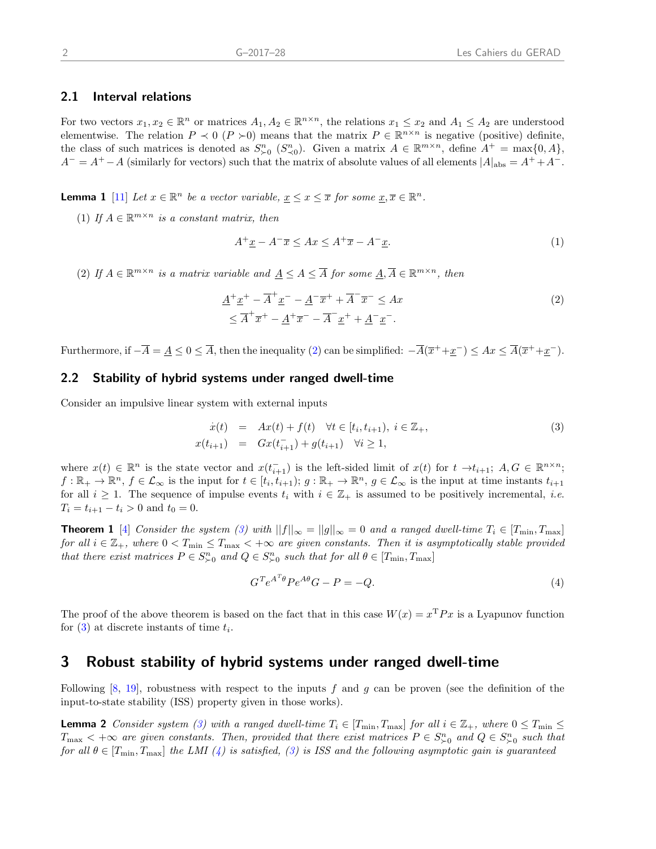#### 2.1 Interval relations

For two vectors  $x_1, x_2 \in \mathbb{R}^n$  or matrices  $A_1, A_2 \in \mathbb{R}^{n \times n}$ , the relations  $x_1 \leq x_2$  and  $A_1 \leq A_2$  are understood elementwise. The relation  $P \prec 0$  ( $P \succ 0$ ) means that the matrix  $P \in \mathbb{R}^{n \times n}$  is negative (positive) definite, the class of such matrices is denoted as  $S_{\succ 0}^n$  ( $S_{\prec 0}^n$ ). Given a matrix  $A \in \mathbb{R}^{m \times n}$ , define  $A^+ = \max\{0, A\}$ ,  $A^{-} = A^{+} - A$  (similarly for vectors) such that the matrix of absolute values of all elements  $|A|_{\text{abs}} = A^{+} + A^{-}$ .

**Lemma 1** [\[11\]](#page-12-10) Let  $x \in \mathbb{R}^n$  be a vector variable,  $\underline{x} \leq x \leq \overline{x}$  for some  $\underline{x}, \overline{x} \in \mathbb{R}^n$ .

(1) If  $A \in \mathbb{R}^{m \times n}$  is a constant matrix, then

<span id="page-5-1"></span>
$$
A^{+}\underline{x} - A^{-}\overline{x} \le Ax \le A^{+}\overline{x} - A^{-}\underline{x}.
$$
\n<sup>(1)</sup>

(2) If  $A \in \mathbb{R}^{m \times n}$  is a matrix variable and  $\underline{A} \leq A \leq \overline{A}$  for some  $\underline{A}, \overline{A} \in \mathbb{R}^{m \times n}$ , then

$$
\underline{A}^+ \underline{x}^+ - \overline{A}^+ \underline{x}^- - \underline{A}^- \overline{x}^+ + \overline{A}^- \overline{x}^- \leq Ax
$$
\n
$$
\leq \overline{A}^+ \overline{x}^+ - \underline{A}^+ \overline{x}^- - \overline{A}^- \underline{x}^+ + \underline{A}^- \underline{x}^-.
$$
\n(2)

Furthermore, if  $-\overline{A} = \underline{A} \leq 0 \leq \overline{A}$ , then the inequality [\(2\)](#page-5-1) can be simplified:  $-\overline{A}(\overline{x}^+ + \underline{x}^-) \leq Ax \leq \overline{A}(\overline{x}^+ + \underline{x}^-)$ .

#### 2.2 Stability of hybrid systems under ranged dwell-time

Consider an impulsive linear system with external inputs

<span id="page-5-4"></span><span id="page-5-2"></span>
$$
\dot{x}(t) = Ax(t) + f(t) \quad \forall t \in [t_i, t_{i+1}), \ i \in \mathbb{Z}_+, \n x(t_{i+1}) = Gx(t_{i+1}^-) + g(t_{i+1}) \quad \forall i \ge 1,
$$
\n(3)

where  $x(t) \in \mathbb{R}^n$  is the state vector and  $x(t_{i+1}^-)$  is the left-sided limit of  $x(t)$  for  $t \to t_{i+1}$ ;  $A, G \in \mathbb{R}^{n \times n}$ ;  $f: \mathbb{R}_+ \to \mathbb{R}^n$ ,  $f \in \mathcal{L}_{\infty}$  is the input for  $t \in [t_i, t_{i+1})$ ;  $g: \mathbb{R}_+ \to \mathbb{R}^n$ ,  $g \in \mathcal{L}_{\infty}$  is the input at time instants  $t_{i+1}$ for all  $i \geq 1$ . The sequence of impulse events  $t_i$  with  $i \in \mathbb{Z}_+$  is assumed to be positively incremental, *i.e.*  $T_i = t_{i+1} - t_i > 0$  and  $t_0 = 0$ .

**Theorem 1** [\[4\]](#page-11-1) Consider the system [\(3\)](#page-5-2) with  $||f||_{\infty} = ||g||_{\infty} = 0$  and a ranged dwell-time  $T_i \in [T_{\min}, T_{\max}]$ for all  $i \in \mathbb{Z}_+$ , where  $0 < T_{\min} \leq T_{\max} < +\infty$  are given constants. Then it is asymptotically stable provided that there exist matrices  $P \in S^n_{\succ 0}$  and  $Q \in S^n_{\succ 0}$  such that for all  $\theta \in [T_{\min}, T_{\max}]$ 

<span id="page-5-3"></span>
$$
G^T e^{A^T \theta} P e^{A \theta} G - P = -Q. \tag{4}
$$

The proof of the above theorem is based on the fact that in this case  $W(x) = x^{\mathrm{T}} P x$  is a Lyapunov function for  $(3)$  at discrete instants of time  $t_i$ .

# <span id="page-5-0"></span>3 Robust stability of hybrid systems under ranged dwell-time

Following [\[8,](#page-11-6) [19\]](#page-12-11), robustness with respect to the inputs f and g can be proven (see the definition of the input-to-state stability (ISS) property given in those works).

**Lemma 2** Consider system [\(3\)](#page-5-2) with a ranged dwell-time  $T_i \in [T_{\min}, T_{\max}]$  for all  $i \in \mathbb{Z}_+$ , where  $0 \le T_{\min} \le$  $T_{\text{max}} < +\infty$  are given constants. Then, provided that there exist matrices  $P \in S_{\succ 0}^n$  and  $Q \in S_{\succ 0}^n$  such that for all  $\theta \in [T_{\min}, T_{\max}]$  the LMI [\(4\)](#page-5-3) is satisfied, [\(3\)](#page-5-2) is ISS and the following asymptotic gain is guaranteed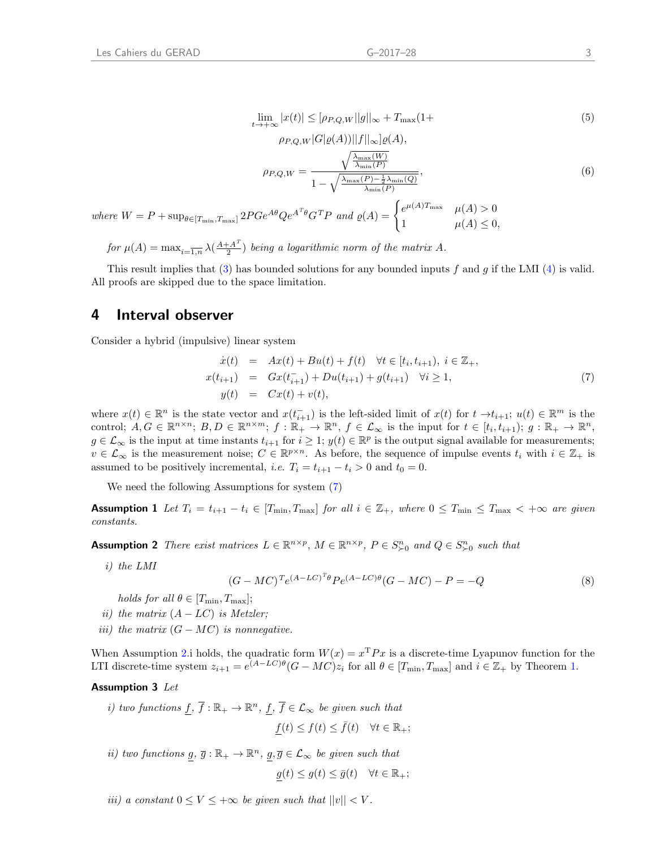$$
\lim_{t \to +\infty} |x(t)| \le [\rho_{P,Q,W} ||g||_{\infty} + T_{\max}(1 +
$$
\n(5)

$$
\rho_{P,Q,W}|G|\varrho(A))||f||_{\infty}]\varrho(A),
$$

$$
\rho_{P,Q,W} = \frac{\sqrt{\frac{\lambda_{\max}(W)}{\lambda_{\min}(P)}}}{1 - \sqrt{\frac{\lambda_{\max}(P) - \frac{1}{2}\lambda_{\min}(Q)}{\lambda_{\min}(P)}}},
$$
(6)

where  $W = P + \sup_{\theta \in [T_{\min}, T_{\max}]} 2PGe^{A\theta}Qe^{A^T\theta}G^TP$  and  $\varrho(A) = \begin{cases} e^{\mu(A)T_{\max}} & \mu(A) > 0 \\ 1 & \mu(A) < 0 \end{cases}$ 1  $\mu(A) \leq 0$ ,

for  $\mu(A) = \max_{i=\overline{1,n}} \lambda(\frac{A+A^T}{2})$  $\frac{(-A^{2})}{2}$ ) being a logarithmic norm of the matrix A.

This result implies that [\(3\)](#page-5-2) has bounded solutions for any bounded inputs f and g if the LMI [\(4\)](#page-5-3) is valid. All proofs are skipped due to the space limitation.

## 4 Interval observer

Consider a hybrid (impulsive) linear system

<span id="page-6-0"></span>
$$
\dot{x}(t) = Ax(t) + Bu(t) + f(t) \quad \forall t \in [t_i, t_{i+1}), i \in \mathbb{Z}_+,
$$
\n
$$
x(t_{i+1}) = Gx(t_{i+1}^-) + Du(t_{i+1}) + g(t_{i+1}) \quad \forall i \ge 1,
$$
\n
$$
y(t) = Cx(t) + v(t),
$$
\n(7)

where  $x(t) \in \mathbb{R}^n$  is the state vector and  $x(t_{i+1}^-)$  is the left-sided limit of  $x(t)$  for  $t \to t_{i+1}$ ;  $u(t) \in \mathbb{R}^m$  is the control;  $A, G \in \mathbb{R}^{n \times n}$ ;  $B, D \in \mathbb{R}^{n \times m}$ ;  $f : \mathbb{R}_+ \to \mathbb{R}^n$ ,  $f \in \mathcal{L}_{\infty}$  is the input for  $t \in [t_i, t_{i+1})$ ;  $g : \mathbb{R}_+ \to \mathbb{R}^n$ ,  $g \in \mathcal{L}_{\infty}$  is the input at time instants  $t_{i+1}$  for  $i \geq 1$ ;  $y(t) \in \mathbb{R}^p$  is the output signal available for measurements;  $v \in \mathcal{L}_{\infty}$  is the measurement noise;  $C \in \mathbb{R}^{p \times n}$ . As before, the sequence of impulse events  $t_i$  with  $i \in \mathbb{Z}_+$  is assumed to be positively incremental, *i.e.*  $T_i = t_{i+1} - t_i > 0$  and  $t_0 = 0$ .

We need the following Assumptions for system [\(7\)](#page-6-0)

**Assumption 1** Let  $T_i = t_{i+1} - t_i \in [T_{\min}, T_{\max}]$  for all  $i \in \mathbb{Z}_+$ , where  $0 \le T_{\min} \le T_{\max} < +\infty$  are given constants.

<span id="page-6-1"></span>**Assumption 2** There exist matrices  $L \in \mathbb{R}^{n \times p}$ ,  $M \in \mathbb{R}^{n \times p}$ ,  $P \in S_{\succ 0}^n$  and  $Q \in S_{\succ 0}^n$  such that

i) the LMI

<span id="page-6-2"></span> $(G - MC)^{T}e^{(A - LC)^{T}\theta}Pe^{(A - LC)\theta}(G - MC) - P = -Q$  (8)

- holds for all  $\theta \in [T_{\min}, T_{\max}];$
- ii) the matrix  $(A LC)$  is Metzler;
- iii) the matrix  $(G MC)$  is nonnegative.

When Assumption [2.](#page-6-1)i holds, the quadratic form  $W(x) = x^{\mathrm{T}} P x$  is a discrete-time Lyapunov function for the LTI discrete-time system  $z_{i+1} = e^{(A-LC)\theta} (G - MC) z_i$  for all  $\theta \in [T_{\min}, T_{\max}]$  and  $i \in \mathbb{Z}_+$  by Theorem [1.](#page-5-4)

#### Assumption 3 Let

i) two functions  $f, \overline{f} : \mathbb{R}_+ \to \mathbb{R}^n$ ,  $f, \overline{f} \in \mathcal{L}_{\infty}$  be given such that  $f(t) \leq f(t) \leq \overline{f}(t) \quad \forall t \in \mathbb{R}_+;$ 

ii) two functions  $g, \overline{g} : \mathbb{R}_+ \to \mathbb{R}^n$ ,  $g, \overline{g} \in \mathcal{L}_{\infty}$  be given such that

<span id="page-6-3"></span>
$$
g(t) \le g(t) \le \bar{g}(t) \quad \forall t \in \mathbb{R}_+;
$$

iii) a constant  $0 \leq V \leq +\infty$  be given such that  $||v|| < V$ .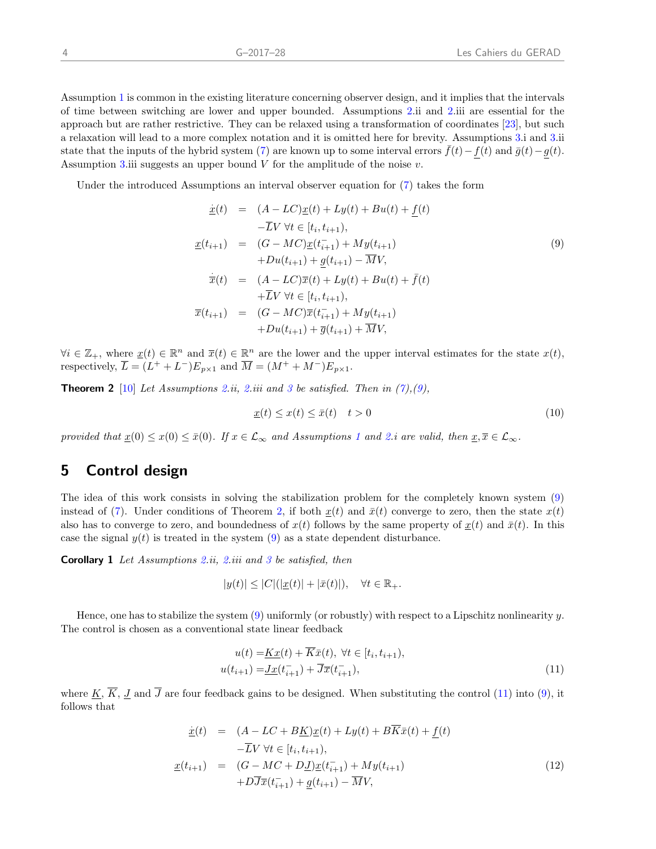Assumption [1](#page-6-2) is common in the existing literature concerning observer design, and it implies that the intervals of time between switching are lower and upper bounded. Assumptions [2.](#page-6-1)ii and [2.](#page-6-1)iii are essential for the approach but are rather restrictive. They can be relaxed using a transformation of coordinates [\[23\]](#page-12-12), but such a relaxation will lead to a more complex notation and it is omitted here for brevity. Assumptions [3.](#page-6-3)i and [3.](#page-6-3)ii state that the inputs of the hybrid system [\(7\)](#page-6-0) are known up to some interval errors  $f(t)-f(t)$  and  $\bar{g}(t)-g(t)$ . Assumption [3.](#page-6-3)iii suggests an upper bound  $V$  for the amplitude of the noise  $v$ .

Under the introduced Assumptions an interval observer equation for [\(7\)](#page-6-0) takes the form

<span id="page-7-1"></span>
$$
\begin{aligned}\n\dot{x}(t) &= (A - LC)\dot{x}(t) + Ly(t) + Bu(t) + \underline{f}(t) \\
&\quad -\overline{L}V \,\forall t \in [t_i, t_{i+1}), \\
\dot{x}(t_{i+1}) &= (G - MC)\dot{x}(t_{i+1}) + My(t_{i+1}) \\
&\quad + Du(t_{i+1}) + \underline{g}(t_{i+1}) - \overline{M}V, \\
\dot{x}(t) &= (A - LC)\overline{x}(t) + Ly(t) + Bu(t) + \overline{f}(t) \\
&\quad + \overline{L}V \,\forall t \in [t_i, t_{i+1}), \\
\overline{x}(t_{i+1}) &= (G - MC)\overline{x}(t_{i+1}^-) + My(t_{i+1}) \\
&\quad + Du(t_{i+1}) + \overline{g}(t_{i+1}) + \overline{M}V,\n\end{aligned}
$$
\n(9)

 $\forall i \in \mathbb{Z}_+$ , where  $\underline{x}(t) \in \mathbb{R}^n$  and  $\overline{x}(t) \in \mathbb{R}^n$  are the lower and the upper interval estimates for the state  $x(t)$ , respectively,  $\overline{L} = (L^+ + L^-)E_{p\times 1}$  and  $\overline{M} = (M^+ + M^-)E_{p\times 1}$ .

**Theorem 2** [\[10\]](#page-12-2) Let Assumptions [2.](#page-6-1)ii, 2.iii and [3](#page-6-3) be satisfied. Then in  $(7)$ ,  $(9)$ ,

<span id="page-7-2"></span>
$$
\underline{x}(t) \le x(t) \le \bar{x}(t) \quad t > 0 \tag{10}
$$

provided that  $\underline{x}(0) \leq \overline{x}(0) \leq \overline{x}(0)$ . If  $x \in \mathcal{L}_{\infty}$  and Assumptions [1](#page-6-2) and [2.](#page-6-1)i are valid, then  $\underline{x}, \overline{x} \in \mathcal{L}_{\infty}$ .

# <span id="page-7-0"></span>5 Control design

The idea of this work consists in solving the stabilization problem for the completely known system [\(9\)](#page-7-1) instead of [\(7\)](#page-6-0). Under conditions of Theorem [2,](#page-7-2) if both  $x(t)$  and  $\bar{x}(t)$  converge to zero, then the state  $x(t)$ also has to converge to zero, and boundedness of  $x(t)$  follows by the same property of  $x(t)$  and  $\bar{x}(t)$ . In this case the signal  $y(t)$  is treated in the system [\(9\)](#page-7-1) as a state dependent disturbance.

**Corollary 1** Let Assumptions [2.](#page-6-1)ii, 2.iii and [3](#page-6-3) be satisfied, then

$$
|y(t)| \leq |C|(|\underline{x}(t)| + |\bar{x}(t)|), \quad \forall t \in \mathbb{R}_+.
$$

Hence, one has to stabilize the system  $(9)$  uniformly (or robustly) with respect to a Lipschitz nonlinearity y. The control is chosen as a conventional state linear feedback

<span id="page-7-3"></span>
$$
u(t) = \underline{Kx}(t) + \overline{Kx}(t), \forall t \in [t_i, t_{i+1}),
$$
  

$$
u(t_{i+1}) = \underline{Jx}(t_{i+1}^-) + \overline{Jx}(t_{i+1}^-),
$$
 (11)

where  $\underline{K}$ ,  $\overline{K}$ ,  $\underline{J}$  and  $\overline{J}$  are four feedback gains to be designed. When substituting the control [\(11\)](#page-7-3) into [\(9\)](#page-7-1), it follows that

<span id="page-7-4"></span>
$$
\begin{aligned}\n\dot{\underline{x}}(t) &= (A - LC + B\underline{K})\underline{x}(t) + Ly(t) + B\overline{K}\bar{x}(t) + \underline{f}(t) \\
&- \overline{L}V \,\forall t \in [t_i, t_{i+1}), \\
\underline{x}(t_{i+1}) &= (G - MC + D\underline{J})\underline{x}(t_{i+1}^-) + My(t_{i+1}) \\
&+ D\overline{J}\overline{x}(t_{i+1}^-) + \underline{g}(t_{i+1}) - \overline{M}V,\n\end{aligned} \tag{12}
$$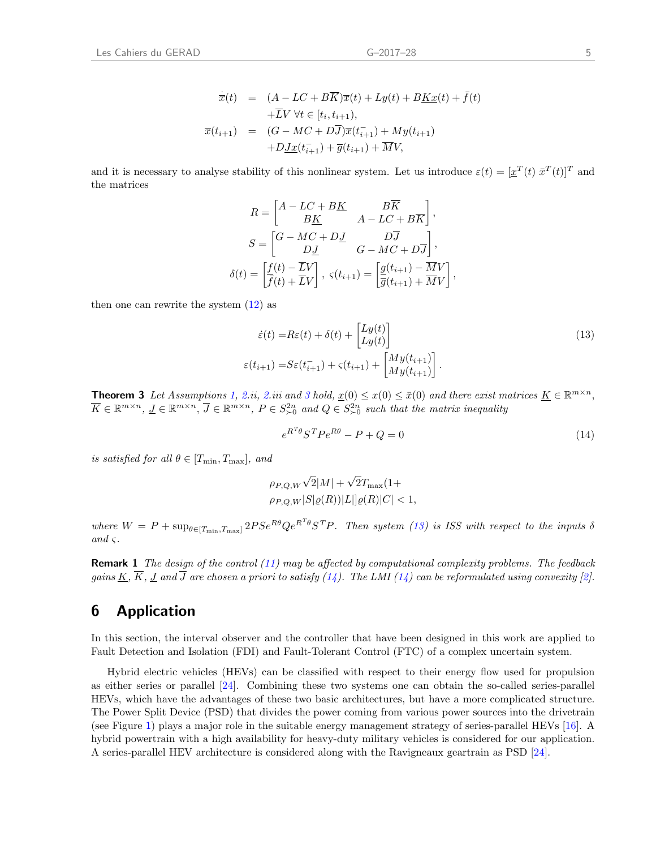$$
\dot{\overline{x}}(t) = (A - LC + B\overline{K})\overline{x}(t) + Ly(t) + B\underline{K}\underline{x}(t) + \overline{f}(t) \n+ \overline{L}V \,\forall t \in [t_i, t_{i+1}), \n\overline{x}(t_{i+1}) = (G - MC + D\overline{J})\overline{x}(t_{i+1}^{-}) + My(t_{i+1}) \n+ D\underline{J}\underline{x}(t_{i+1}^{-}) + \overline{g}(t_{i+1}) + \overline{M}V,
$$

and it is necessary to analyse stability of this nonlinear system. Let us introduce  $\varepsilon(t) = [\underline{x}^T(t) \ \overline{x}^T(t)]^T$  and the matrices

$$
R = \begin{bmatrix} A - LC + BK & B\overline{K} \\ B\underline{K} & A - LC + B\overline{K} \end{bmatrix},
$$
  
\n
$$
S = \begin{bmatrix} G - MC + D\underline{J} & D\overline{J} \\ D\underline{J} & G - MC + D\overline{J} \end{bmatrix},
$$
  
\n
$$
\delta(t) = \begin{bmatrix} \frac{f(t) - \overline{L}V}{\overline{f}(t) + \overline{L}V} \end{bmatrix}, \ \varsigma(t_{i+1}) = \begin{bmatrix} \frac{g(t_{i+1}) - \overline{M}V}{\overline{g}(t_{i+1}) + \overline{M}V} \end{bmatrix},
$$

then one can rewrite the system  $(12)$  as

$$
\dot{\varepsilon}(t) = R\varepsilon(t) + \delta(t) + \begin{bmatrix} Ly(t) \\ Ly(t) \end{bmatrix}
$$
\n
$$
\varepsilon(t_{i+1}) = S\varepsilon(t_{i+1}^-) + \varsigma(t_{i+1}) + \begin{bmatrix} My(t_{i+1}) \\ My(t_{i+1}) \end{bmatrix}.
$$
\n(13)

<span id="page-8-3"></span>**Theorem [3](#page-6-3)** Let Assumptions [1,](#page-6-2) [2.](#page-6-1)ii, 2.iii and 3 hold,  $\underline{x}(0) \leq \overline{x}(0) \leq \overline{x}(0)$  and there exist matrices  $\underline{K} \in \mathbb{R}^{m \times n}$ ,  $\overline{K} \in \mathbb{R}^{m \times n}$ ,  $\overline{J} \in \mathbb{R}^{m \times n}$ ,  $P \in S^{2n}_{\succ 0}$  and  $Q \in S^{2n}_{\succ 0}$  such that the matrix inequality

<span id="page-8-2"></span><span id="page-8-1"></span>
$$
e^{R^T \theta} S^T P e^{R \theta} - P + Q = 0 \tag{14}
$$

is satisfied for all  $\theta \in [T_{\min}, T_{\max}]$ , and

$$
\rho_{P,Q,W}\sqrt{2}|M| + \sqrt{2}T_{\text{max}}(1 + \rho_{P,Q,W}|S|\varrho(R))|L||\varrho(R)|C| < 1,
$$

where  $W = P + \sup_{\theta \in [T_{\min}, T_{\max}]} 2P S e^{R\theta} Q e^{R^T \theta} S^T P$ . Then system [\(13\)](#page-8-1) is ISS with respect to the inputs  $\delta$ and  $\varsigma$ .

**Remark 1** The design of the control  $(11)$  may be affected by computational complexity problems. The feedback gains  $\underline{K}$ ,  $\overline{K}$ ,  $\underline{J}$  and  $\overline{J}$  are chosen a priori to satisfy [\(14\)](#page-8-2). The LMI (14) can be reformulated using convexity [\[2\]](#page-11-7).

## <span id="page-8-0"></span>6 Application

In this section, the interval observer and the controller that have been designed in this work are applied to Fault Detection and Isolation (FDI) and Fault-Tolerant Control (FTC) of a complex uncertain system.

Hybrid electric vehicles (HEVs) can be classified with respect to their energy flow used for propulsion as either series or parallel [\[24\]](#page-12-13). Combining these two systems one can obtain the so-called series-parallel HEVs, which have the advantages of these two basic architectures, but have a more complicated structure. The Power Split Device (PSD) that divides the power coming from various power sources into the drivetrain (see Figure [1](#page-9-0)) plays a major role in the suitable energy management strategy of series-parallel HEVs [\[16\]](#page-12-14). A hybrid powertrain with a high availability for heavy-duty military vehicles is considered for our application. A series-parallel HEV architecture is considered along with the Ravigneaux geartrain as PSD [\[24\]](#page-12-13).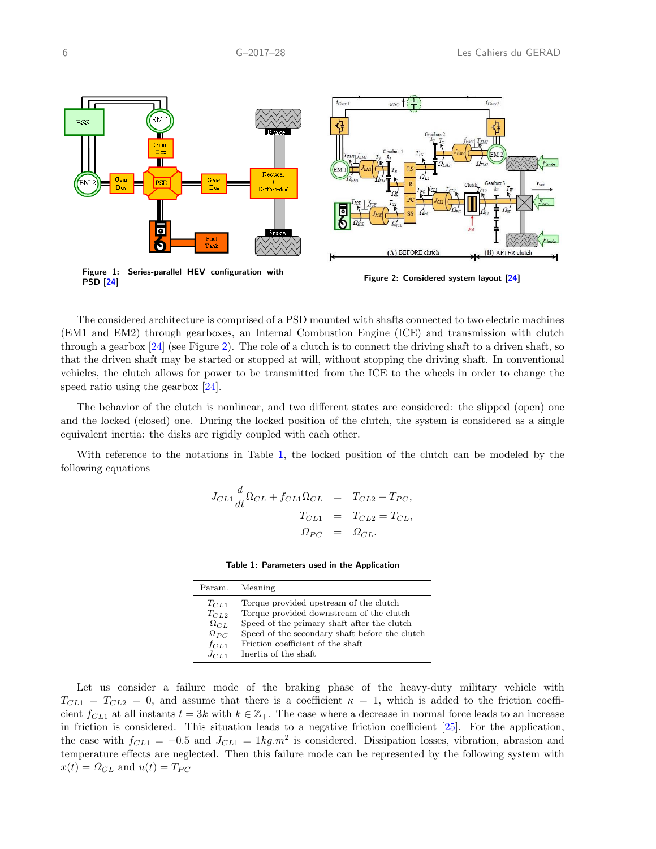<span id="page-9-0"></span>

The considered architecture is comprised of a PSD mounted with shafts connected to two electric machines (EM1 and EM2) through gearboxes, an Internal Combustion Engine (ICE) and transmission with clutch through a gearbox  $[24]$  (see Figure [2](#page-9-0)). The role of a clutch is to connect the driving shaft to a driven shaft, so that the driven shaft may be started or stopped at will, without stopping the driving shaft. In conventional vehicles, the clutch allows for power to be transmitted from the ICE to the wheels in order to change the speed ratio using the gearbox [\[24\]](#page-12-13).

The behavior of the clutch is nonlinear, and two different states are considered: the slipped (open) one and the locked (closed) one. During the locked position of the clutch, the system is considered as a single equivalent inertia: the disks are rigidly coupled with each other.

<span id="page-9-1"></span>With reference to the notations in Table [1](#page-9-1), the locked position of the clutch can be modeled by the following equations

$$
J_{CL1} \frac{d}{dt} \Omega_{CL} + f_{CL1} \Omega_{CL} = T_{CL2} - T_{PC},
$$
  

$$
T_{CL1} = T_{CL2} = T_{CL},
$$
  

$$
\Omega_{PC} = \Omega_{CL}.
$$

Table 1: Parameters used in the Application

| Param. Meaning |                                                |
|----------------|------------------------------------------------|
| $T_{CL1}$      | Torque provided upstream of the clutch         |
| $T_{CL2}$      | Torque provided downstream of the clutch       |
| $\Omega_{CL}$  | Speed of the primary shaft after the clutch    |
| $\Omega_{PC}$  | Speed of the secondary shaft before the clutch |
| $f_{CL1}$      | Friction coefficient of the shaft              |
| $J_{CL1}$      | Inertia of the shaft                           |

Let us consider a failure mode of the braking phase of the heavy-duty military vehicle with  $T_{CL1} = T_{CL2} = 0$ , and assume that there is a coefficient  $\kappa = 1$ , which is added to the friction coefficient  $f_{CL1}$  at all instants  $t = 3k$  with  $k \in \mathbb{Z}_+$ . The case where a decrease in normal force leads to an increase in friction is considered. This situation leads to a negative friction coefficient [\[25\]](#page-12-15). For the application, the case with  $f_{CL1} = -0.5$  and  $J_{CL1} = 1kg.m^2$  is considered. Dissipation losses, vibration, abrasion and temperature effects are neglected. Then this failure mode can be represented by the following system with  $x(t) = \Omega_{CL}$  and  $u(t) = T_{PC}$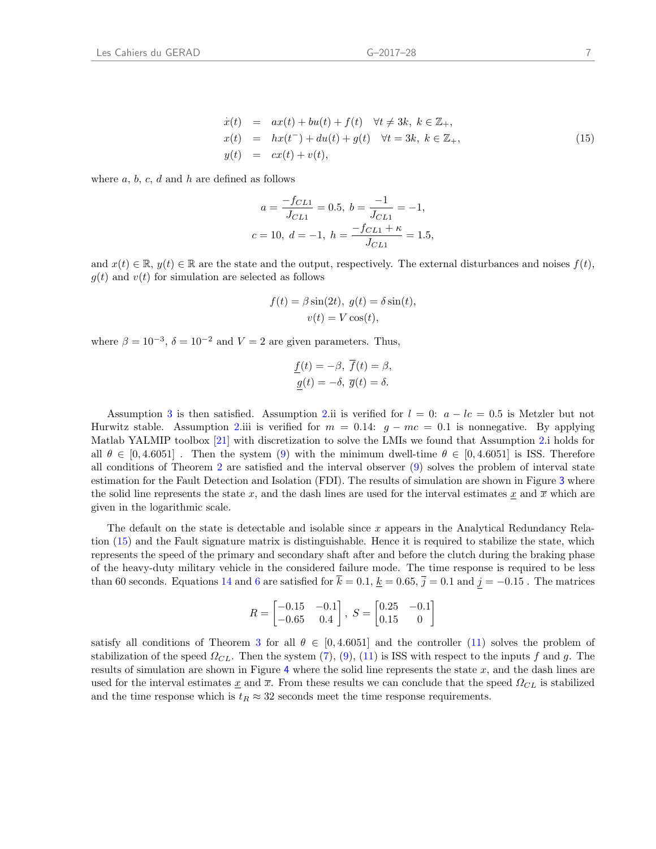<span id="page-10-0"></span>
$$
\begin{array}{rcl}\n\dot{x}(t) & = & ax(t) + bu(t) + f(t) \quad \forall t \neq 3k, \ k \in \mathbb{Z}_+, \\
x(t) & = & hx(t^-) + du(t) + g(t) \quad \forall t = 3k, \ k \in \mathbb{Z}_+, \\
y(t) & = & cx(t) + v(t),\n\end{array} \tag{15}
$$

where  $a, b, c, d$  and  $h$  are defined as follows

$$
a = \frac{-f_{CL1}}{J_{CL1}} = 0.5, \ b = \frac{-1}{J_{CL1}} = -1,
$$
  

$$
c = 10, \ d = -1, \ h = \frac{-f_{CL1} + \kappa}{J_{CL1}} = 1.5,
$$

and  $x(t) \in \mathbb{R}$ ,  $y(t) \in \mathbb{R}$  are the state and the output, respectively. The external disturbances and noises  $f(t)$ ,  $g(t)$  and  $v(t)$  for simulation are selected as follows

$$
f(t) = \beta \sin(2t), \ g(t) = \delta \sin(t),
$$
  

$$
v(t) = V \cos(t),
$$

where  $\beta = 10^{-3}$ ,  $\delta = 10^{-2}$  and  $V = 2$  are given parameters. Thus,

$$
\underline{f}(t) = -\beta, \ f(t) = \beta, \n\underline{g}(t) = -\delta, \ \overline{g}(t) = \delta.
$$

Assumption [3](#page-6-3) is then satisfied. Assumption [2.](#page-6-1)ii is verified for  $l = 0$ :  $a - lc = 0.5$  is Metzler but not Hurwitz stable. Assumption [2.](#page-6-1)iii is verified for  $m = 0.14$ :  $g - mc = 0.1$  is nonnegative. By applying Matlab YALMIP toolbox [\[21\]](#page-12-16) with discretization to solve the LMIs we found that Assumption [2.](#page-6-1)i holds for all  $\theta \in [0, 4.6051]$ . Then the system [\(9\)](#page-7-1) with the minimum dwell-time  $\theta \in [0, 4.6051]$  is ISS. Therefore all conditions of Theorem [2](#page-7-2) are satisfied and the interval observer [\(9\)](#page-7-1) solves the problem of interval state estimation for the Fault Detection and Isolation (FDI). The results of simulation are shown in Figure [3](#page-11-8) where the solid line represents the state x, and the dash lines are used for the interval estimates  $\underline{x}$  and  $\overline{x}$  which are given in the logarithmic scale.

The default on the state is detectable and isolable since x appears in the Analytical Redundancy Relation [\(15\)](#page-10-0) and the Fault signature matrix is distinguishable. Hence it is required to stabilize the state, which represents the speed of the primary and secondary shaft after and before the clutch during the braking phase of the heavy-duty military vehicle in the considered failure mode. The time response is required to be less than 60 seconds. Equations [14](#page-8-2) and [6](#page-10-0) are satisfied for  $\bar{k} = 0.1, \underline{k} = 0.65, \bar{j} = 0.1$  and  $j = -0.15$ . The matrices

$$
R = \begin{bmatrix} -0.15 & -0.1 \\ -0.65 & 0.4 \end{bmatrix}, S = \begin{bmatrix} 0.25 & -0.1 \\ 0.15 & 0 \end{bmatrix}
$$

satisfy all conditions of Theorem [3](#page-8-3) for all  $\theta \in [0, 4.6051]$  and the controller [\(11\)](#page-7-3) solves the problem of stabilization of the speed  $\Omega_{CL}$ . Then the system [\(7\)](#page-6-0), [\(9\)](#page-7-1), [\(11\)](#page-7-3) is ISS with respect to the inputs f and g. The results of simulation are shown in Figure [4](#page-11-8) where the solid line represents the state  $x$ , and the dash lines are used for the interval estimates  $\underline{x}$  and  $\overline{x}$ . From these results we can conclude that the speed  $\Omega_{CL}$  is stabilized and the time response which is  $t_R \approx 32$  seconds meet the time response requirements.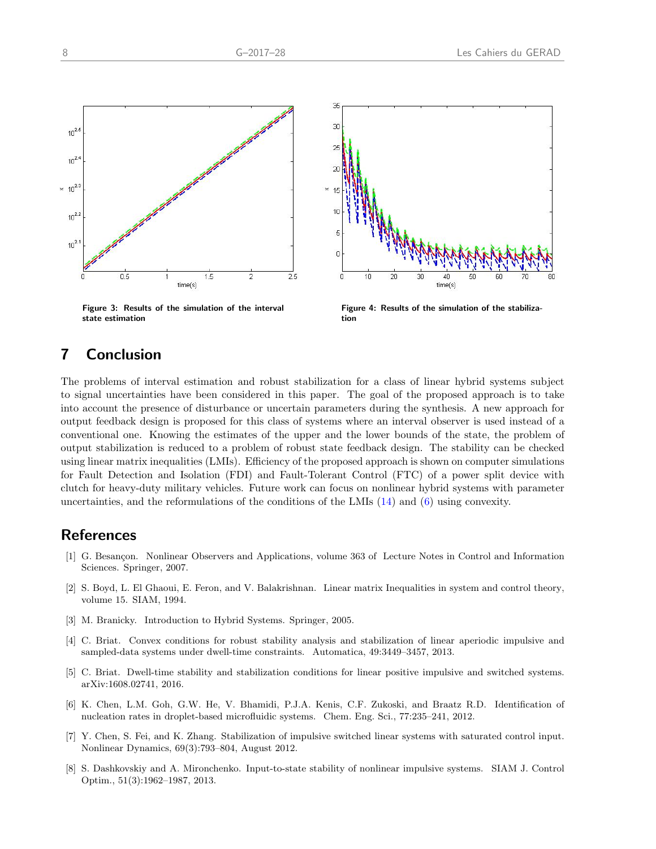<span id="page-11-8"></span>



Figure 3: Results of the simulation of the interval state estimation

Figure 4: Results of the simulation of the stabilization

# 7 Conclusion

The problems of interval estimation and robust stabilization for a class of linear hybrid systems subject to signal uncertainties have been considered in this paper. The goal of the proposed approach is to take into account the presence of disturbance or uncertain parameters during the synthesis. A new approach for output feedback design is proposed for this class of systems where an interval observer is used instead of a conventional one. Knowing the estimates of the upper and the lower bounds of the state, the problem of output stabilization is reduced to a problem of robust state feedback design. The stability can be checked using linear matrix inequalities (LMIs). Efficiency of the proposed approach is shown on computer simulations for Fault Detection and Isolation (FDI) and Fault-Tolerant Control (FTC) of a power split device with clutch for heavy-duty military vehicles. Future work can focus on nonlinear hybrid systems with parameter uncertainties, and the reformulations of the conditions of the LMIs [\(14\)](#page-8-2) and [\(6\)](#page-10-0) using convexity.

## References

- <span id="page-11-4"></span>[1] G. Besançon. Nonlinear Observers and Applications, volume 363 of Lecture Notes in Control and Information Sciences. Springer, 2007.
- <span id="page-11-7"></span>[2] S. Boyd, L. El Ghaoui, E. Feron, and V. Balakrishnan. Linear matrix Inequalities in system and control theory, volume 15. SIAM, 1994.
- <span id="page-11-0"></span>[3] M. Branicky. Introduction to Hybrid Systems. Springer, 2005.
- <span id="page-11-1"></span>[4] C. Briat. Convex conditions for robust stability analysis and stabilization of linear aperiodic impulsive and sampled-data systems under dwell-time constraints. Automatica, 49:3449–3457, 2013.
- <span id="page-11-2"></span>[5] C. Briat. Dwell-time stability and stabilization conditions for linear positive impulsive and switched systems. arXiv:1608.02741, 2016.
- <span id="page-11-5"></span>[6] K. Chen, L.M. Goh, G.W. He, V. Bhamidi, P.J.A. Kenis, C.F. Zukoski, and Braatz R.D. Identification of nucleation rates in droplet-based microfluidic systems. Chem. Eng. Sci., 77:235–241, 2012.
- <span id="page-11-3"></span>[7] Y. Chen, S. Fei, and K. Zhang. Stabilization of impulsive switched linear systems with saturated control input. Nonlinear Dynamics, 69(3):793–804, August 2012.
- <span id="page-11-6"></span>[8] S. Dashkovskiy and A. Mironchenko. Input-to-state stability of nonlinear impulsive systems. SIAM J. Control Optim., 51(3):1962–1987, 2013.